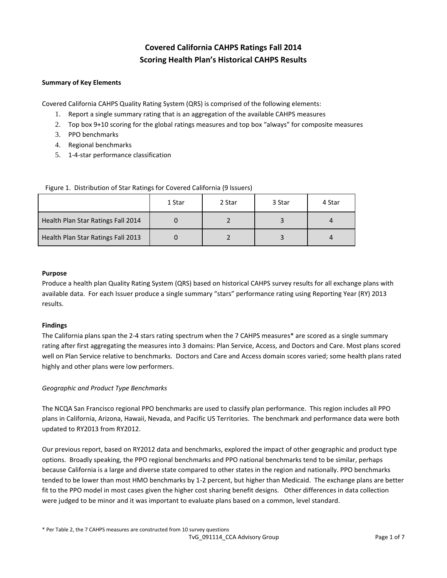# **Covered California CAHPS Ratings Fall 2014 Scoring Health Plan's Historical CAHPS Results**

## **Summary of Key Elements**

Covered California CAHPS Quality Rating System (QRS) is comprised of the following elements:

- 1. Report a single summary rating that is an aggregation of the available CAHPS measures
- 2. Top box 9+10 scoring for the global ratings measures and top box "always" for composite measures
- 3. PPO benchmarks
- 4. Regional benchmarks
- 5. 1-4-star performance classification

|                                    | 1 Star | 2 Star | 3 Star | 4 Star |
|------------------------------------|--------|--------|--------|--------|
| Health Plan Star Ratings Fall 2014 |        |        |        |        |
| Health Plan Star Ratings Fall 2013 |        |        |        |        |

## Figure 1. Distribution of Star Ratings for Covered California (9 Issuers)

#### **Purpose**

Produce a health plan Quality Rating System (QRS) based on historical CAHPS survey results for all exchange plans with available data. For each Issuer produce a single summary "stars" performance rating using Reporting Year (RY) 2013 results.

## **Findings**

The California plans span the 2-4 stars rating spectrum when the 7 CAHPS measures\* are scored as a single summary rating after first aggregating the measures into 3 domains: Plan Service, Access, and Doctors and Care. Most plans scored well on Plan Service relative to benchmarks. Doctors and Care and Access domain scores varied; some health plans rated highly and other plans were low performers.

## *Geographic and Product Type Benchmarks*

The NCQA San Francisco regional PPO benchmarks are used to classify plan performance. This region includes all PPO plans in California, Arizona, Hawaii, Nevada, and Pacific US Territories. The benchmark and performance data were both updated to RY2013 from RY2012.

Our previous report, based on RY2012 data and benchmarks, explored the impact of other geographic and product type options. Broadly speaking, the PPO regional benchmarks and PPO national benchmarks tend to be similar, perhaps because California is a large and diverse state compared to other states in the region and nationally. PPO benchmarks tended to be lower than most HMO benchmarks by 1-2 percent, but higher than Medicaid. The exchange plans are better fit to the PPO model in most cases given the higher cost sharing benefit designs. Other differences in data collection were judged to be minor and it was important to evaluate plans based on a common, level standard.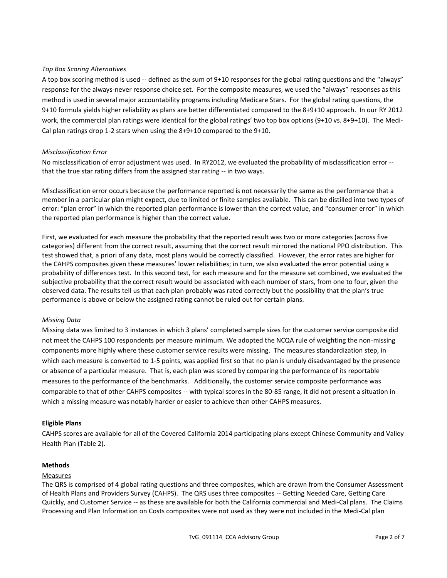#### *Top Box Scoring Alternatives*

A top box scoring method is used -- defined as the sum of 9+10 responses for the global rating questions and the "always" response for the always-never response choice set. For the composite measures, we used the "always" responses as this method is used in several major accountability programs including Medicare Stars. For the global rating questions, the 9+10 formula yields higher reliability as plans are better differentiated compared to the 8+9+10 approach. In our RY 2012 work, the commercial plan ratings were identical for the global ratings' two top box options (9+10 vs. 8+9+10). The Medi-Cal plan ratings drop 1-2 stars when using the 8+9+10 compared to the 9+10.

#### *Misclassification Error*

No misclassification of error adjustment was used. In RY2012, we evaluated the probability of misclassification error - that the true star rating differs from the assigned star rating -- in two ways.

Misclassification error occurs because the performance reported is not necessarily the same as the performance that a member in a particular plan might expect, due to limited or finite samples available. This can be distilled into two types of error: "plan error" in which the reported plan performance is lower than the correct value, and "consumer error" in which the reported plan performance is higher than the correct value.

First, we evaluated for each measure the probability that the reported result was two or more categories (across five categories) different from the correct result, assuming that the correct result mirrored the national PPO distribution. This test showed that, a priori of any data, most plans would be correctly classified. However, the error rates are higher for the CAHPS composites given these measures' lower reliabilities; in turn, we also evaluated the error potential using a probability of differences test. In this second test, for each measure and for the measure set combined, we evaluated the subjective probability that the correct result would be associated with each number of stars, from one to four, given the observed data. The results tell us that each plan probably was rated correctly but the possibility that the plan's true performance is above or below the assigned rating cannot be ruled out for certain plans.

#### *Missing Data*

Missing data was limited to 3 instances in which 3 plans' completed sample sizes for the customer service composite did not meet the CAHPS 100 respondents per measure minimum. We adopted the NCQA rule of weighting the non-missing components more highly where these customer service results were missing. The measures standardization step, in which each measure is converted to 1-5 points, was applied first so that no plan is unduly disadvantaged by the presence or absence of a particular measure. That is, each plan was scored by comparing the performance of its reportable measures to the performance of the benchmarks. Additionally, the customer service composite performance was comparable to that of other CAHPS composites -- with typical scores in the 80-85 range, it did not present a situation in which a missing measure was notably harder or easier to achieve than other CAHPS measures.

#### **Eligible Plans**

CAHPS scores are available for all of the Covered California 2014 participating plans except Chinese Community and Valley Health Plan (Table 2).

## **Methods**

#### Measures

The QRS is comprised of 4 global rating questions and three composites, which are drawn from the Consumer Assessment of Health Plans and Providers Survey (CAHPS). The QRS uses three composites -- Getting Needed Care, Getting Care Quickly, and Customer Service -- as these are available for both the California commercial and Medi-Cal plans. The Claims Processing and Plan Information on Costs composites were not used as they were not included in the Medi-Cal plan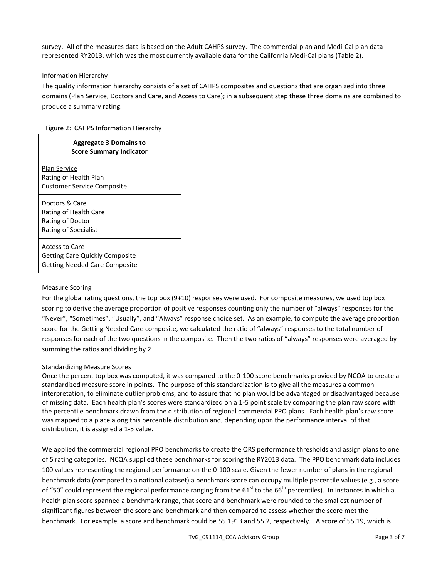survey. All of the measures data is based on the Adult CAHPS survey. The commercial plan and Medi-Cal plan data represented RY2013, which was the most currently available data for the California Medi-Cal plans (Table 2).

## Information Hierarchy

The quality information hierarchy consists of a set of CAHPS composites and questions that are organized into three domains (Plan Service, Doctors and Care, and Access to Care); in a subsequent step these three domains are combined to produce a summary rating.

Figure 2: CAHPS Information Hierarchy

| <b>Aggregate 3 Domains to</b><br><b>Score Summary Indicator</b> |
|-----------------------------------------------------------------|
| Plan Service                                                    |
| Rating of Health Plan                                           |
| Customer Service Composite                                      |
| Doctors & Care                                                  |
| Rating of Health Care                                           |
| Rating of Doctor                                                |
| Rating of Specialist                                            |
| Access to Care                                                  |
| Getting Care Quickly Composite                                  |
| Getting Needed Care Composite                                   |

#### Measure Scoring

For the global rating questions, the top box (9+10) responses were used. For composite measures, we used top box scoring to derive the average proportion of positive responses counting only the number of "always" responses for the "Never", "Sometimes", "Usually", and "Always" response choice set. As an example, to compute the average proportion score for the Getting Needed Care composite, we calculated the ratio of "always" responses to the total number of responses for each of the two questions in the composite. Then the two ratios of "always" responses were averaged by summing the ratios and dividing by 2.

## Standardizing Measure Scores

Once the percent top box was computed, it was compared to the 0-100 score benchmarks provided by NCQA to create a standardized measure score in points. The purpose of this standardization is to give all the measures a common interpretation, to eliminate outlier problems, and to assure that no plan would be advantaged or disadvantaged because of missing data. Each health plan's scores were standardized on a 1-5 point scale by comparing the plan raw score with the percentile benchmark drawn from the distribution of regional commercial PPO plans. Each health plan's raw score was mapped to a place along this percentile distribution and, depending upon the performance interval of that distribution, it is assigned a 1-5 value.

We applied the commercial regional PPO benchmarks to create the QRS performance thresholds and assign plans to one of 5 rating categories. NCQA supplied these benchmarks for scoring the RY2013 data. The PPO benchmark data includes 100 values representing the regional performance on the 0-100 scale. Given the fewer number of plans in the regional benchmark data (compared to a national dataset) a benchmark score can occupy multiple percentile values (e.g., a score of "50" could represent the regional performance ranging from the  $61^{st}$  to the  $66^{th}$  percentiles). In instances in which a health plan score spanned a benchmark range, that score and benchmark were rounded to the smallest number of significant figures between the score and benchmark and then compared to assess whether the score met the benchmark. For example, a score and benchmark could be 55.1913 and 55.2, respectively. A score of 55.19, which is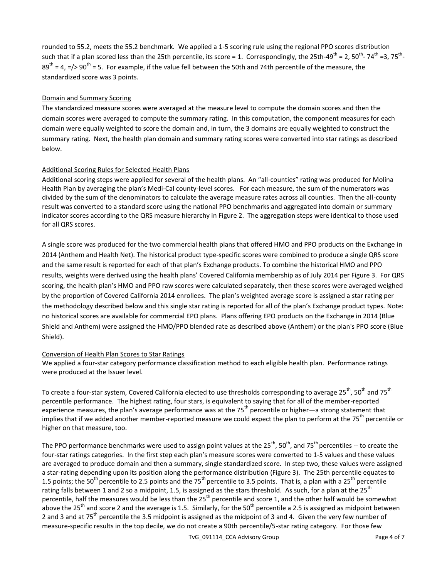rounded to 55.2, meets the 55.2 benchmark. We applied a 1-5 scoring rule using the regional PPO scores distribution such that if a plan scored less than the 25th percentile, its score = 1. Correspondingly, the 25th-49<sup>th</sup> = 2, 50<sup>th</sup>-74<sup>th</sup> =3, 75<sup>th</sup>- $89^{th}$  = 4, =/>  $90^{th}$  = 5. For example, if the value fell between the 50th and 74th percentile of the measure, the standardized score was 3 points.

## Domain and Summary Scoring

The standardized measure scores were averaged at the measure level to compute the domain scores and then the domain scores were averaged to compute the summary rating. In this computation, the component measures for each domain were equally weighted to score the domain and, in turn, the 3 domains are equally weighted to construct the summary rating. Next, the health plan domain and summary rating scores were converted into star ratings as described below.

## Additional Scoring Rules for Selected Health Plans

Additional scoring steps were applied for several of the health plans. An "all-counties" rating was produced for Molina Health Plan by averaging the plan's Medi-Cal county-level scores. For each measure, the sum of the numerators was divided by the sum of the denominators to calculate the average measure rates across all counties. Then the all-county result was converted to a standard score using the national PPO benchmarks and aggregated into domain or summary indicator scores according to the QRS measure hierarchy in Figure 2. The aggregation steps were identical to those used for all QRS scores.

A single score was produced for the two commercial health plans that offered HMO and PPO products on the Exchange in 2014 (Anthem and Health Net). The historical product type-specific scores were combined to produce a single QRS score and the same result is reported for each of that plan's Exchange products. To combine the historical HMO and PPO results, weights were derived using the health plans' Covered California membership as of July 2014 per Figure 3. For QRS scoring, the health plan's HMO and PPO raw scores were calculated separately, then these scores were averaged weighed by the proportion of Covered California 2014 enrollees. The plan's weighted average score is assigned a star rating per the methodology described below and this single star rating is reported for all of the plan's Exchange product types. Note: no historical scores are available for commercial EPO plans. Plans offering EPO products on the Exchange in 2014 (Blue Shield and Anthem) were assigned the HMO/PPO blended rate as described above (Anthem) or the plan's PPO score (Blue Shield).

## Conversion of Health Plan Scores to Star Ratings

We applied a four-star category performance classification method to each eligible health plan. Performance ratings were produced at the Issuer level.

To create a four-star system, Covered California elected to use thresholds corresponding to average 25<sup>th</sup>, 50<sup>th</sup> and 75<sup>th</sup> percentile performance. The highest rating, four stars, is equivalent to saying that for all of the member-reported experience measures, the plan's average performance was at the 75<sup>th</sup> percentile or higher—a strong statement that implies that if we added another member-reported measure we could expect the plan to perform at the 75<sup>th</sup> percentile or higher on that measure, too.

The PPO performance benchmarks were used to assign point values at the 25<sup>th</sup>, 50<sup>th</sup>, and 75<sup>th</sup> percentiles -- to create the four-star ratings categories. In the first step each plan's measure scores were converted to 1-5 values and these values are averaged to produce domain and then a summary, single standardized score. In step two, these values were assigned a star-rating depending upon its position along the performance distribution (Figure 3). The 25th percentile equates to 1.5 points; the 50<sup>th</sup> percentile to 2.5 points and the 75<sup>th</sup> percentile to 3.5 points. That is, a plan with a 25<sup>th</sup> percentile rating falls between 1 and 2 so a midpoint, 1.5, is assigned as the stars threshold. As such, for a plan at the  $25^{th}$ percentile, half the measures would be less than the  $25<sup>th</sup>$  percentile and score 1, and the other half would be somewhat above the 25<sup>th</sup> and score 2 and the average is 1.5. Similarly, for the 50<sup>th</sup> percentile a 2.5 is assigned as midpoint between 2 and 3 and at  $75<sup>th</sup>$  percentile the 3.5 midpoint is assigned as the midpoint of 3 and 4. Given the very few number of measure-specific results in the top decile, we do not create a 90th percentile/5-star rating category. For those few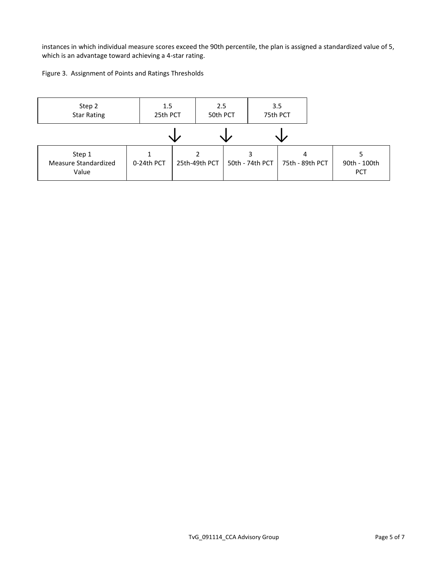instances in which individual measure scores exceed the 90th percentile, the plan is assigned a standardized value of 5, which is an advantage toward achieving a 4-star rating.

Figure 3. Assignment of Points and Ratings Thresholds

| Step 2<br><b>Star Rating</b>            | 1.5<br>25th PCT |               | 2.5<br>50th PCT | 3.5<br>75th PCT      |                            |
|-----------------------------------------|-----------------|---------------|-----------------|----------------------|----------------------------|
|                                         |                 |               |                 |                      |                            |
| Step 1<br>Measure Standardized<br>Value | 0-24th PCT      | 25th-49th PCT | 50th - 74th PCT | 4<br>75th - 89th PCT | 90th - 100th<br><b>PCT</b> |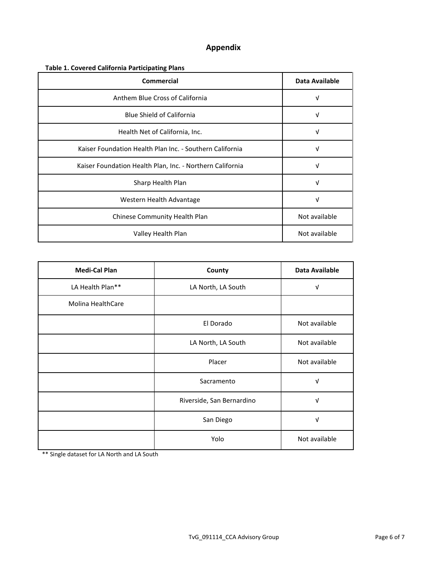## **Appendix**

| <b>Commercial</b>                                         | Data Available |  |  |  |
|-----------------------------------------------------------|----------------|--|--|--|
| Anthem Blue Cross of California                           | V              |  |  |  |
| <b>Blue Shield of California</b>                          | ν              |  |  |  |
| Health Net of California, Inc.                            | V              |  |  |  |
| Kaiser Foundation Health Plan Inc. - Southern California  | ν              |  |  |  |
| Kaiser Foundation Health Plan, Inc. - Northern California | V              |  |  |  |
| Sharp Health Plan                                         | V              |  |  |  |
| Western Health Advantage                                  | v              |  |  |  |
| Chinese Community Health Plan                             | Not available  |  |  |  |
| Valley Health Plan                                        | Not available  |  |  |  |

| <b>Medi-Cal Plan</b> | County                    | Data Available |
|----------------------|---------------------------|----------------|
| LA Health Plan**     | LA North, LA South        | V              |
| Molina HealthCare    |                           |                |
|                      | El Dorado                 | Not available  |
|                      | LA North, LA South        | Not available  |
|                      | Placer                    | Not available  |
|                      | Sacramento                | $\sqrt{ }$     |
|                      | Riverside, San Bernardino | V              |
|                      | San Diego                 | $\sqrt{ }$     |
|                      | Yolo                      | Not available  |

\*\* Single dataset for LA North and LA South